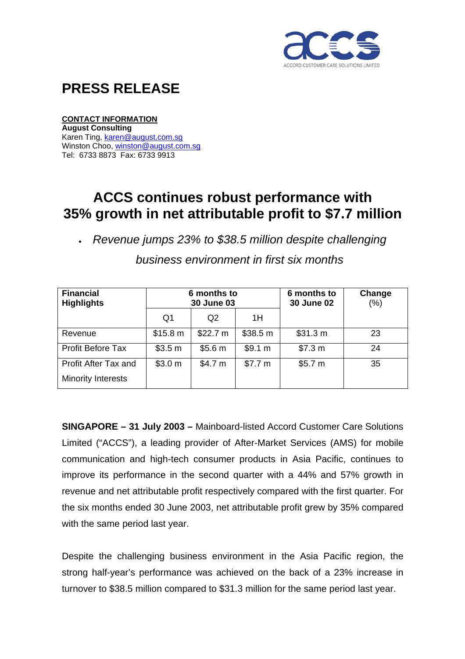

## **PRESS RELEASE**

## **CONTACT INFORMATION**

**August Consulting**  Karen Ting, [karen@august.com.sg](mailto:karen@august.com.sg) Winston Choo, [winston@august.com.sg](mailto:winston@august.com.sg) Tel: 6733 8873 Fax: 6733 9913

## **ACCS continues robust performance with 35% growth in net attributable profit to \$7.7 million**

• *Revenue jumps 23% to \$38.5 million despite challenging* 

| <b>Financial</b><br><b>Highlights</b>             | 6 months to<br>30 June 03 |                    |          | 6 months to<br><b>30 June 02</b> | Change<br>(%) |
|---------------------------------------------------|---------------------------|--------------------|----------|----------------------------------|---------------|
|                                                   | Q <sub>1</sub>            | Q <sub>2</sub>     | 1H       |                                  |               |
| Revenue                                           | \$15.8 m                  | \$22.7 m           | \$38.5 m | \$31.3 m                         | 23            |
| Profit Before Tax                                 | \$3.5 m                   | \$5.6 m            | \$9.1 m  | \$7.3 m                          | 24            |
| Profit After Tax and<br><b>Minority Interests</b> | \$3.0 <sub>m</sub>        | \$4.7 <sub>m</sub> | \$7.7 m  | \$5.7 m                          | 35            |

*business environment in first six months* 

**SINGAPORE – 31 July 2003 –** Mainboard-listed Accord Customer Care Solutions Limited ("ACCS"), a leading provider of After-Market Services (AMS) for mobile communication and high-tech consumer products in Asia Pacific, continues to improve its performance in the second quarter with a 44% and 57% growth in revenue and net attributable profit respectively compared with the first quarter. For the six months ended 30 June 2003, net attributable profit grew by 35% compared with the same period last year.

Despite the challenging business environment in the Asia Pacific region, the strong half-year's performance was achieved on the back of a 23% increase in turnover to \$38.5 million compared to \$31.3 million for the same period last year.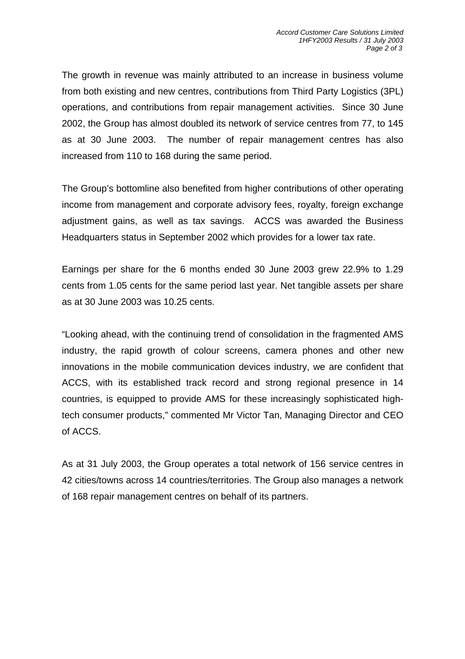The growth in revenue was mainly attributed to an increase in business volume from both existing and new centres, contributions from Third Party Logistics (3PL) operations, and contributions from repair management activities. Since 30 June 2002, the Group has almost doubled its network of service centres from 77, to 145 as at 30 June 2003. The number of repair management centres has also increased from 110 to 168 during the same period.

The Group's bottomline also benefited from higher contributions of other operating income from management and corporate advisory fees, royalty, foreign exchange adjustment gains, as well as tax savings. ACCS was awarded the Business Headquarters status in September 2002 which provides for a lower tax rate.

Earnings per share for the 6 months ended 30 June 2003 grew 22.9% to 1.29 cents from 1.05 cents for the same period last year. Net tangible assets per share as at 30 June 2003 was 10.25 cents.

"Looking ahead, with the continuing trend of consolidation in the fragmented AMS industry, the rapid growth of colour screens, camera phones and other new innovations in the mobile communication devices industry, we are confident that ACCS, with its established track record and strong regional presence in 14 countries, is equipped to provide AMS for these increasingly sophisticated hightech consumer products," commented Mr Victor Tan, Managing Director and CEO of ACCS.

As at 31 July 2003, the Group operates a total network of 156 service centres in 42 cities/towns across 14 countries/territories. The Group also manages a network of 168 repair management centres on behalf of its partners.